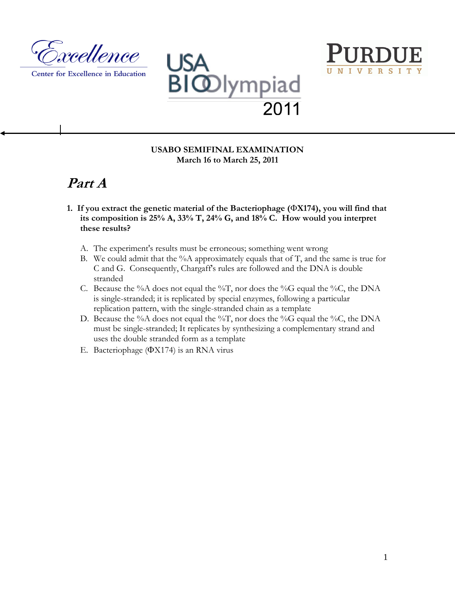

Center for Excellence in Education





# **Part A**

- **1. If you extract the genetic material of the Bacteriophage (X174), you will find that its composition is 25% A, 33% T, 24% G, and 18% C. How would you interpret these results?**
	- A. The experiment's results must be erroneous; something went wrong
	- B. We could admit that the  $%A$  approximately equals that of T, and the same is true for C and G. Consequently, Chargaff's rules are followed and the DNA is double stranded
	- C. Because the %A does not equal the %T, nor does the %G equal the %C, the DNA is single-stranded; it is replicated by special enzymes, following a particular replication pattern, with the single-stranded chain as a template
	- D. Because the %A does not equal the %T, nor does the %G equal the %C, the DNA must be single-stranded; It replicates by synthesizing a complementary strand and uses the double stranded form as a template
	- E. Bacteriophage  $(\Phi X174)$  is an RNA virus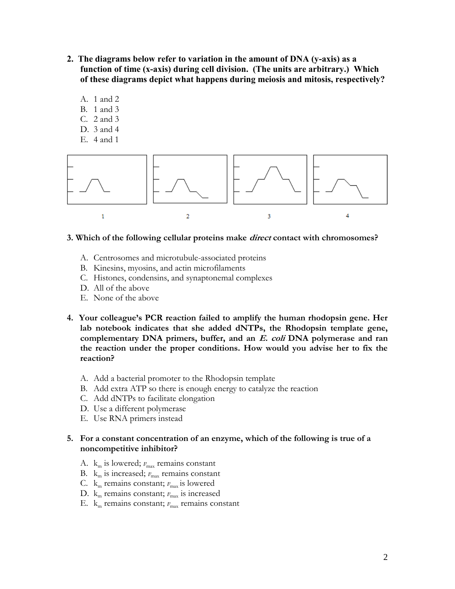- **2. The diagrams below refer to variation in the amount of DNA (y-axis) as a function of time (x-axis) during cell division. (The units are arbitrary.) Which of these diagrams depict what happens during meiosis and mitosis, respectively?**
	- A. 1 and 2
	- B. 1 and 3
	- C. 2 and 3
	- D. 3 and 4
	- E. 4 and 1



#### **3. Which of the following cellular proteins make direct contact with chromosomes?**

- A. Centrosomes and microtubule-associated proteins
- B. Kinesins, myosins, and actin microfilaments
- C. Histones, condensins, and synaptonemal complexes
- D. All of the above
- E. None of the above
- **4. Your colleague's PCR reaction failed to amplify the human rhodopsin gene. Her lab notebook indicates that she added dNTPs, the Rhodopsin template gene, complementary DNA primers, buffer, and an E. coli DNA polymerase and ran the reaction under the proper conditions. How would you advise her to fix the reaction?**
	- A. Add a bacterial promoter to the Rhodopsin template
	- B. Add extra ATP so there is enough energy to catalyze the reaction
	- C. Add dNTPs to facilitate elongation
	- D. Use a different polymerase
	- E. Use RNA primers instead

# **5. For a constant concentration of an enzyme, which of the following is true of a noncompetitive inhibitor?**

- A.  $k_m$  is lowered;  $v_{max}$  remains constant
- B.  $k_m$  is increased;  $v_{\text{max}}$  remains constant
- C.  $k_m$  remains constant;  $v_{\text{max}}$  is lowered
- D. k<sub>m</sub> remains constant;  $v_{\text{max}}$  is increased
- E. k<sub>m</sub> remains constant;  $v_{\text{max}}$  remains constant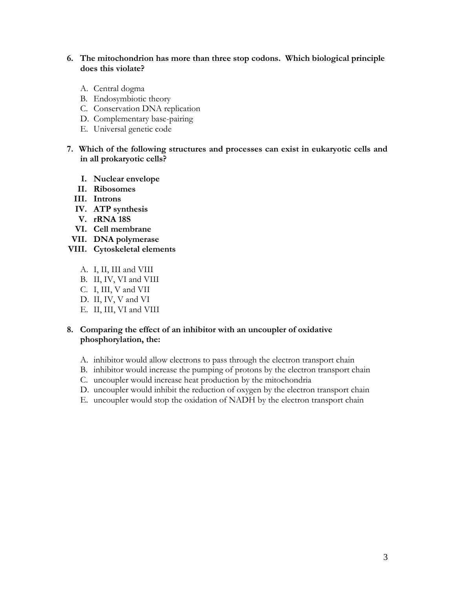# **6. The mitochondrion has more than three stop codons. Which biological principle does this violate?**

- A. Central dogma
- B. Endosymbiotic theory
- C. Conservation DNA replication
- D. Complementary base-pairing
- E. Universal genetic code
- **7. Which of the following structures and processes can exist in eukaryotic cells and in all prokaryotic cells?**
	- **I. Nuclear envelope**
	- **II. Ribosomes**
	- **III. Introns**
	- **IV. ATP synthesis**
	- **V. rRNA 18S**
	- **VI. Cell membrane**
	- **VII. DNA polymerase**
- **VIII. Cytoskeletal elements**
	- A. I, II, III and VIII
	- B. II, IV, VI and VIII
	- C. I, III, V and VII
	- D. II, IV, V and VI
	- E. II, III, VI and VIII

# **8. Comparing the effect of an inhibitor with an uncoupler of oxidative phosphorylation, the:**

- A. inhibitor would allow electrons to pass through the electron transport chain
- B. inhibitor would increase the pumping of protons by the electron transport chain
- C. uncoupler would increase heat production by the mitochondria
- D. uncoupler would inhibit the reduction of oxygen by the electron transport chain
- E. uncoupler would stop the oxidation of NADH by the electron transport chain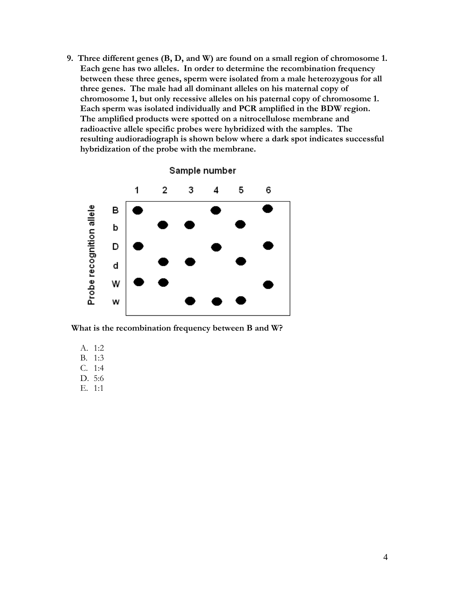**9. Three different genes (B, D, and W) are found on a small region of chromosome 1. Each gene has two alleles. In order to determine the recombination frequency between these three genes, sperm were isolated from a male heterozygous for all three genes. The male had all dominant alleles on his maternal copy of chromosome 1, but only recessive alleles on his paternal copy of chromosome 1. Each sperm was isolated individually and PCR amplified in the BDW region. The amplified products were spotted on a nitrocellulose membrane and radioactive allele specific probes were hybridized with the samples. The resulting audioradiograph is shown below where a dark spot indicates successful hybridization of the probe with the membrane.** 



 **What is the recombination frequency between B and W?**

- A. 1:2
- B. 1:3
- C. 1:4
- D. 5:6
- E. 1:1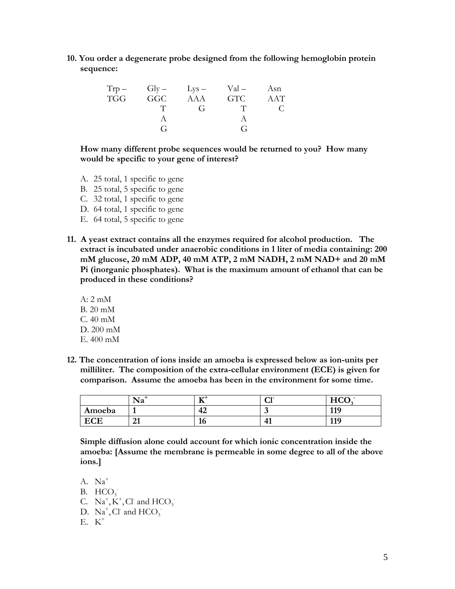**10. You order a degenerate probe designed from the following hemoglobin protein sequence:**

| $Trp -$    | $Gly - \qquad \text{Lys} -$ |              | $Val -$    | Asn |
|------------|-----------------------------|--------------|------------|-----|
| <b>TGG</b> | <b>GGC</b>                  | AAA          | <b>GTC</b> | AAT |
|            |                             | $\mathbf{G}$ |            |     |
|            |                             |              |            |     |
|            | G                           |              | G          |     |

**How many different probe sequences would be returned to you? How many would be specific to your gene of interest?** 

- A. 25 total, 1 specific to gene
- B. 25 total, 5 specific to gene
- C. 32 total, 1 specific to gene
- D. 64 total, 1 specific to gene
- E. 64 total, 5 specific to gene
- **11. A yeast extract contains all the enzymes required for alcohol production. The extract is incubated under anaerobic conditions in 1 liter of media containing: 200 mM glucose, 20 mM ADP, 40 mM ATP, 2 mM NADH, 2 mM NAD+ and 20 mM Pi (inorganic phosphates). What is the maximum amount of ethanol that can be produced in these conditions?**
	- A: 2 mM B. 20 mM C. 40 mM D. 200 mM E. 400 mM
- **12. The concentration of ions inside an amoeba is expressed below as ion-units per milliliter. The composition of the extra-cellular environment (ECE) is given for comparison. Assume the amoeba has been in the environment for some time.**

|          | $\mathbf{r}$<br>Na | エアユ<br>∸         | $\sim$ $\sim$<br>ື | $TTCO$ .<br>–<br>11 U U |
|----------|--------------------|------------------|--------------------|-------------------------|
| Amoeba   |                    | $\sqrt{2}$<br>74 | . .                | 110<br>- 11             |
| rг<br>σι | $\mathbf{A}$<br>41 | πv               | тд                 | 110<br>                 |

**Simple diffusion alone could account for which ionic concentration inside the amoeba: [Assume the membrane is permeable in some degree to all of the above ions.]**

- A. Na<sup>+</sup>
- B.  $HCO<sub>3</sub>$
- C.  $Na^+, K^+, Cl$  and  $HCO_3^-$
- D.  $\text{Na}^+$ , Cl<sup>-</sup> and HCO<sub>3</sub><sup>-</sup>
- E. K<sup>+</sup>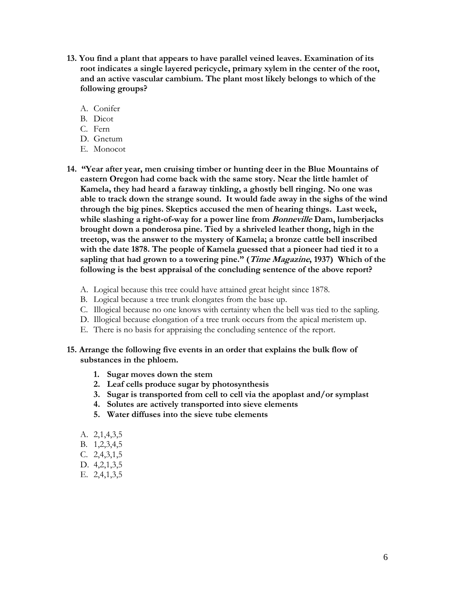- **13. You find a plant that appears to have parallel veined leaves. Examination of its root indicates a single layered pericycle, primary xylem in the center of the root, and an active vascular cambium. The plant most likely belongs to which of the following groups?**
	- A. Conifer
	- B. Dicot
	- C. Fern
	- D. Gnetum
	- E. Monocot
- **14. "Year after year, men cruising timber or hunting deer in the Blue Mountains of eastern Oregon had come back with the same story. Near the little hamlet of Kamela, they had heard a faraway tinkling, a ghostly bell ringing. No one was able to track down the strange sound. It would fade away in the sighs of the wind through the big pines. Skeptics accused the men of hearing things. Last week, while slashing a right-of-way for a power line from Bonneville Dam, lumberjacks brought down a ponderosa pine. Tied by a shriveled leather thong, high in the treetop, was the answer to the mystery of Kamela; a bronze cattle bell inscribed with the date 1878. The people of Kamela guessed that a pioneer had tied it to a sapling that had grown to a towering pine." (Time Magazine, 1937) Which of the following is the best appraisal of the concluding sentence of the above report?**
	- A. Logical because this tree could have attained great height since 1878.
	- B. Logical because a tree trunk elongates from the base up.
	- C. Illogical because no one knows with certainty when the bell was tied to the sapling.
	- D. Illogical because elongation of a tree trunk occurs from the apical meristem up.
	- E. There is no basis for appraising the concluding sentence of the report.
- **15. Arrange the following five events in an order that explains the bulk flow of substances in the phloem.**
	- **1. Sugar moves down the stem**
	- **2. Leaf cells produce sugar by photosynthesis**
	- **3. Sugar is transported from cell to cell via the apoplast and/or symplast**
	- **4. Solutes are actively transported into sieve elements**
	- **5. Water diffuses into the sieve tube elements**
	- A. 2,1,4,3,5
	- B. 1,2,3,4,5
	- C. 2,4,3,1,5
	- D. 4,2,1,3,5
	- E. 2,4,1,3,5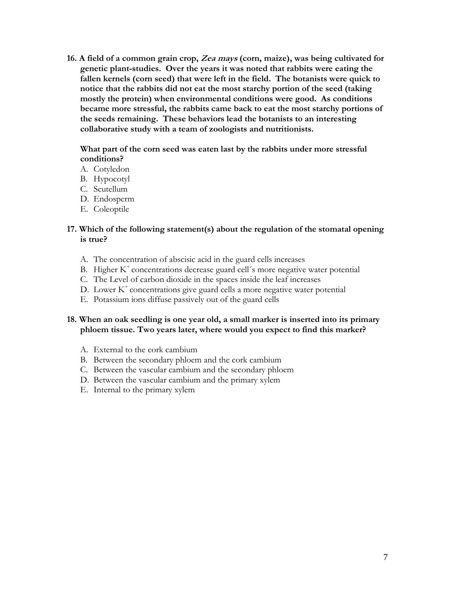**16. A field of a common grain crop, Zea mays (corn, maize), was being cultivated for genetic plant-studies. Over the years it was noted that rabbits were eating the fallen kernels (corn seed) that were left in the field. The botanists were quick to notice that the rabbits did not eat the most starchy portion of the seed (taking mostly the protein) when environmental conditions were good. As conditions became more stressful, the rabbits came back to eat the most starchy portions of the seeds remaining. These behaviors lead the botanists to an interesting collaborative study with a team of zoologists and nutritionists.**

**What part of the corn seed was eaten last by the rabbits under more stressful conditions?**

- A. Cotyledon
- B. Hypocotyl
- C. Scutellum
- D. Endosperm
- E. Coleoptile

#### **17. Which of the following statement(s) about the regulation of the stomatal opening is true?**

- A. The concentration of abscisic acid in the guard cells increases
- B. Higher  $K^+$  concentrations decrease guard cell's more negative water potential
- C. The Level of carbon dioxide in the spaces inside the leaf increases
- D. Lower  $K^+$  concentrations give guard cells a more negative water potential
- E. Potassium ions diffuse passively out of the guard cells

# **18. When an oak seedling is one year old, a small marker is inserted into its primary phloem tissue. Two years later, where would you expect to find this marker?**

- A. External to the cork cambium
- B. Between the secondary phloem and the cork cambium
- C. Between the vascular cambium and the secondary phloem
- D. Between the vascular cambium and the primary xylem
- E. Internal to the primary xylem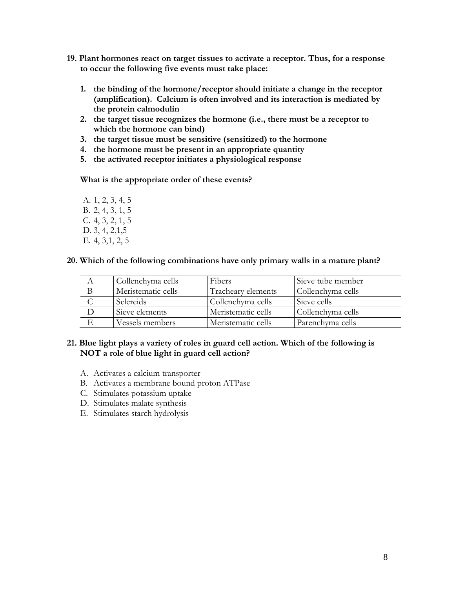- **19. Plant hormones react on target tissues to activate a receptor. Thus, for a response to occur the following five events must take place:**
	- **1. the binding of the hormone/receptor should initiate a change in the receptor (amplification). Calcium is often involved and its interaction is mediated by the protein calmodulin**
	- **2. the target tissue recognizes the hormone (i.e., there must be a receptor to which the hormone can bind)**
	- **3. the target tissue must be sensitive (sensitized) to the hormone**
	- **4. the hormone must be present in an appropriate quantity**
	- **5. the activated receptor initiates a physiological response**

**What is the appropriate order of these events?**

A. 1, 2, 3, 4, 5 B. 2, 4, 3, 1, 5 C. 4, 3, 2, 1, 5 D. 3, 4, 2, 1, 5 E. 4, 3,1, 2, 5

#### **20. Which of the following combinations have only primary walls in a mature plant?**

| Collenchyma cells  | <b>Fibers</b>      | Sieve tube member |
|--------------------|--------------------|-------------------|
| Meristematic cells | Tracheary elements | Collenchyma cells |
| <b>Sclereids</b>   | Collenchyma cells  | Sieve cells       |
| Sieve elements     | Meristematic cells | Collenchyma cells |
| Vessels members    | Meristematic cells | Parenchyma cells  |

#### **21. Blue light plays a variety of roles in guard cell action. Which of the following is NOT a role of blue light in guard cell action?**

- A. Activates a calcium transporter
- B. Activates a membrane bound proton ATPase
- C. Stimulates potassium uptake
- D. Stimulates malate synthesis
- E. Stimulates starch hydrolysis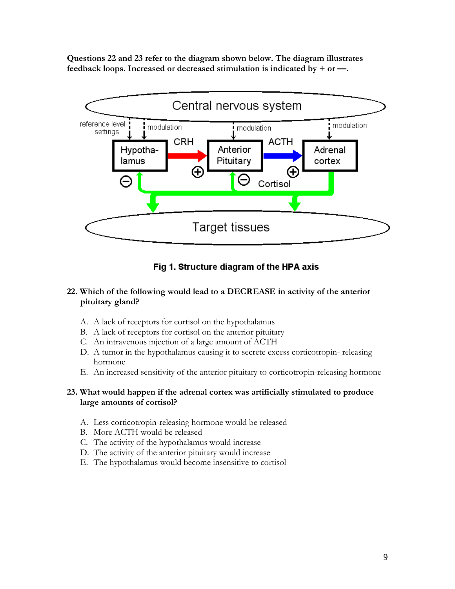**Questions 22 and 23 refer to the diagram shown below. The diagram illustrates feedback loops. Increased or decreased stimulation is indicated by**  $+$  **or**  $-$ **.** 



# Fig 1. Structure diagram of the HPA axis

# **22. Which of the following would lead to a DECREASE in activity of the anterior pituitary gland?**

- A. A lack of receptors for cortisol on the hypothalamus
- B. A lack of receptors for cortisol on the anterior pituitary
- C. An intravenous injection of a large amount of ACTH
- D. A tumor in the hypothalamus causing it to secrete excess corticotropin- releasing hormone
- E. An increased sensitivity of the anterior pituitary to corticotropin-releasing hormone

# **23. What would happen if the adrenal cortex was artificially stimulated to produce large amounts of cortisol?**

- A. Less corticotropin-releasing hormone would be released
- B. More ACTH would be released
- C. The activity of the hypothalamus would increase
- D. The activity of the anterior pituitary would increase
- E. The hypothalamus would become insensitive to cortisol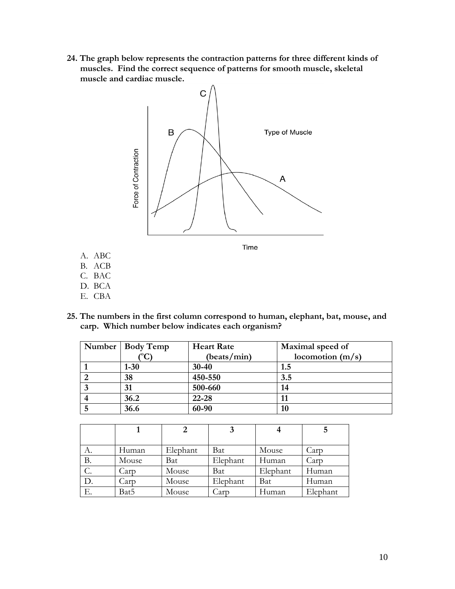**24. The graph below represents the contraction patterns for three different kinds of muscles. Find the correct sequence of patterns for smooth muscle, skeletal muscle and cardiac muscle.**



- D. BCA E. CBA
- **25. The numbers in the first column correspond to human, elephant, bat, mouse, and carp. Which number below indicates each organism?**

| Number   Body Temp | <b>Heart Rate</b> | Maximal speed of   |
|--------------------|-------------------|--------------------|
|                    | (beats/min)       | locomotion $(m/s)$ |
| $1 - 30$           | $30 - 40$         | 1.5                |
| 38                 | 450-550           | 3.5                |
| 31                 | 500-660           | 14                 |
| 36.2               | $22 - 28$         |                    |
| 36.6               | 60-90             | 10                 |

|       |       |          |          |          | 5        |
|-------|-------|----------|----------|----------|----------|
|       |       |          |          |          |          |
| А.    | Human | Elephant | Bat      | Mouse    | Carp     |
| В.    | Mouse | Bat      | Elephant | Human    | Carp     |
| $C$ . | Carp  | Mouse    | Bat      | Elephant | Human    |
| D.    | Carp  | Mouse    | Elephant | Bat      | Human    |
| Е.    | Bat5  | Mouse    | Carp     | Human    | Elephant |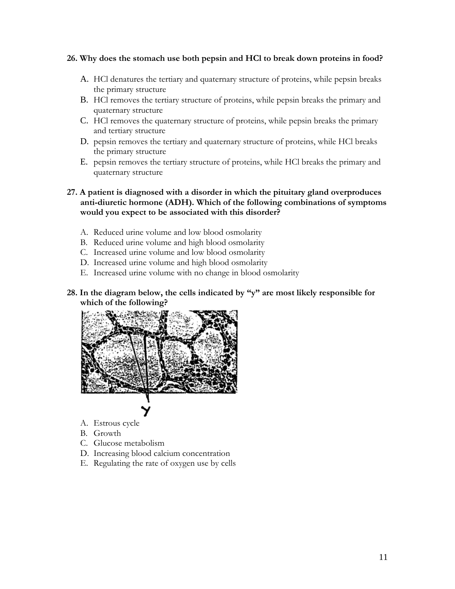#### **26. Why does the stomach use both pepsin and HCl to break down proteins in food?**

- A. HCl denatures the tertiary and quaternary structure of proteins, while pepsin breaks the primary structure
- B. HCl removes the tertiary structure of proteins, while pepsin breaks the primary and quaternary structure
- C. HCl removes the quaternary structure of proteins, while pepsin breaks the primary and tertiary structure
- D. pepsin removes the tertiary and quaternary structure of proteins, while HCl breaks the primary structure
- E. pepsin removes the tertiary structure of proteins, while HCl breaks the primary and quaternary structure

**27. A patient is diagnosed with a disorder in which the pituitary gland overproduces anti-diuretic hormone (ADH). Which of the following combinations of symptoms would you expect to be associated with this disorder?**

- A. Reduced urine volume and low blood osmolarity
- B. Reduced urine volume and high blood osmolarity
- C. Increased urine volume and low blood osmolarity
- D. Increased urine volume and high blood osmolarity
- E. Increased urine volume with no change in blood osmolarity
- **28. In the diagram below, the cells indicated by "y" are most likely responsible for which of the following?**



- A. Estrous cycle
- B. Growth
- C. Glucose metabolism
- D. Increasing blood calcium concentration
- E. Regulating the rate of oxygen use by cells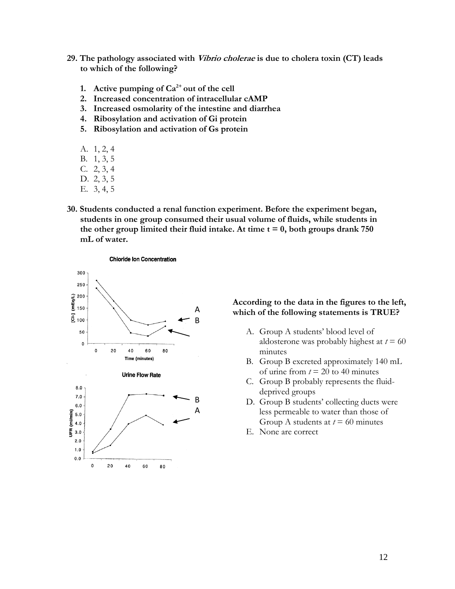- **29. The pathology associated with Vibrio cholerae is due to cholera toxin (CT) leads to which of the following?**
	- **1. Active pumping of Ca2+ out of the cell**
	- **2. Increased concentration of intracellular cAMP**
	- **3. Increased osmolarity of the intestine and diarrhea**
	- **4. Ribosylation and activation of Gi protein**
	- **5. Ribosylation and activation of Gs protein**
	- A. 1, 2, 4
	- B. 1, 3, 5
	- C. 2, 3, 4
	- D. 2, 3, 5
	- E. 3, 4, 5
- **30. Students conducted a renal function experiment. Before the experiment began, students in one group consumed their usual volume of fluids, while students in**  the other group limited their fluid intake. At time  $t = 0$ , both groups drank 750 **mL of water.**



#### **According to the data in the figures to the left, which of the following statements is TRUE?**

- A. Group A students' blood level of aldosterone was probably highest at  $t = 60$ minutes
- B. Group B excreted approximately 140 mL of urine from  $t = 20$  to 40 minutes
- C. Group B probably represents the fluiddeprived groups
- D. Group B students' collecting ducts were less permeable to water than those of Group A students at  $t = 60$  minutes
- E. None are correct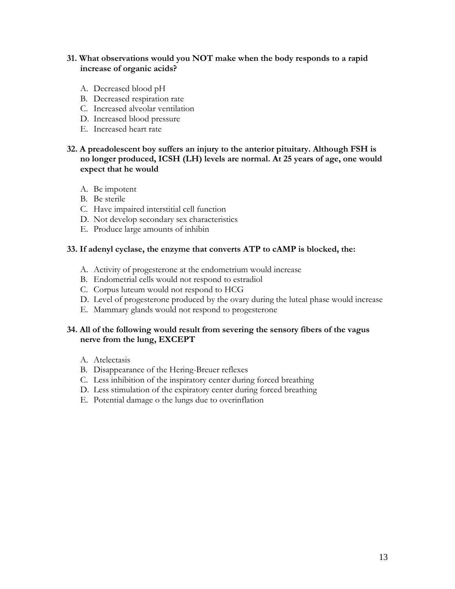# **31. What observations would you NOT make when the body responds to a rapid increase of organic acids?**

- A. Decreased blood pH
- B. Decreased respiration rate
- C. Increased alveolar ventilation
- D. Increased blood pressure
- E. Increased heart rate

# **32. A preadolescent boy suffers an injury to the anterior pituitary. Although FSH is no longer produced, ICSH (LH) levels are normal. At 25 years of age, one would expect that he would**

- A. Be impotent
- B. Be sterile
- C. Have impaired interstitial cell function
- D. Not develop secondary sex characteristics
- E. Produce large amounts of inhibin

#### **33. If adenyl cyclase, the enzyme that converts ATP to cAMP is blocked, the:**

- A. Activity of progesterone at the endometrium would increase
- B. Endometrial cells would not respond to estradiol
- C. Corpus luteum would not respond to HCG
- D. Level of progesterone produced by the ovary during the luteal phase would increase
- E. Mammary glands would not respond to progesterone

# **34. All of the following would result from severing the sensory fibers of the vagus nerve from the lung, EXCEPT**

- A. Atelectasis
- B. Disappearance of the Hering-Breuer reflexes
- C. Less inhibition of the inspiratory center during forced breathing
- D. Less stimulation of the expiratory center during forced breathing
- E. Potential damage o the lungs due to overinflation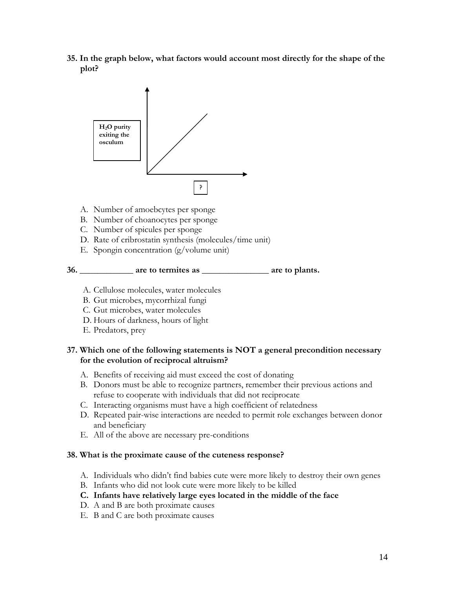**35. In the graph below, what factors would account most directly for the shape of the plot?**



- A. Number of amoebcytes per sponge
- B. Number of choanocytes per sponge
- C. Number of spicules per sponge
- D. Rate of cribrostatin synthesis (molecules/time unit)
- E. Spongin concentration (g/volume unit)



- A. Cellulose molecules, water molecules
- B. Gut microbes, mycorrhizal fungi
- C. Gut microbes, water molecules
- D. Hours of darkness, hours of light
- E. Predators, prey

#### **37. Which one of the following statements is NOT a general precondition necessary for the evolution of reciprocal altruism?**

- A. Benefits of receiving aid must exceed the cost of donating
- B. Donors must be able to recognize partners, remember their previous actions and refuse to cooperate with individuals that did not reciprocate
- C. Interacting organisms must have a high coefficient of relatedness
- D. Repeated pair-wise interactions are needed to permit role exchanges between donor and beneficiary
- E. All of the above are necessary pre-conditions

#### **38. What is the proximate cause of the cuteness response?**

- A. Individuals who didn't find babies cute were more likely to destroy their own genes
- B. Infants who did not look cute were more likely to be killed
- **C. Infants have relatively large eyes located in the middle of the face**
- D. A and B are both proximate causes
- E. B and C are both proximate causes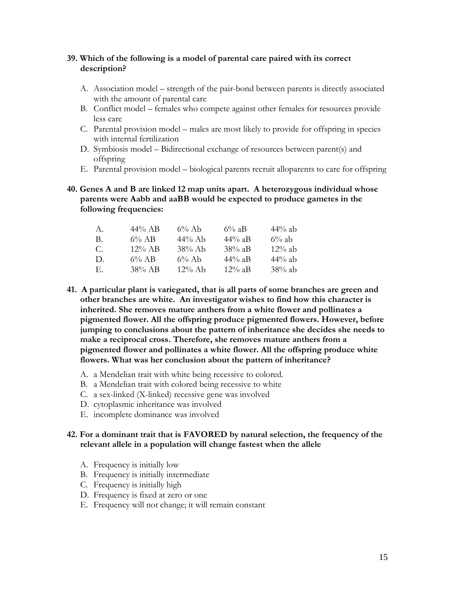# **39. Which of the following is a model of parental care paired with its correct description?**

- A. Association model strength of the pair-bond between parents is directly associated with the amount of parental care
- B. Conflict model females who compete against other females for resources provide less care
- C. Parental provision model males are most likely to provide for offspring in species with internal fertilization
- D. Symbiosis model Bidirectional exchange of resources between parent(s) and offspring
- E. Parental provision model biological parents recruit alloparents to care for offspring
- **40. Genes A and B are linked 12 map units apart. A heterozygous individual whose parents were Aabb and aaBB would be expected to produce gametes in the following frequencies:**

| А.           | $44\%$ AB | $6\%$ Ab  | $6\%$ aB  | $44\%$ ab |
|--------------|-----------|-----------|-----------|-----------|
| В.           | $6\%$ AB  | $44\%$ Ab | $44\%$ aB | $6\%$ ab  |
| С.           | $12\%$ AB | $38\%$ Ab | $38\%$ aB | $12\%$ ab |
| $\mathbf{D}$ | $6\%$ AB  | $6\%$ Ab  | $44\%$ aB | $44\%$ ab |
| Е.           | 38% AB    | $12\%$ Ab | $12\%$ aB | $38\%$ ab |

- **41. A particular plant is variegated, that is all parts of some branches are green and other branches are white. An investigator wishes to find how this character is inherited. She removes mature anthers from a white flower and pollinates a pigmented flower. All the offspring produce pigmented flowers. However, before jumping to conclusions about the pattern of inheritance she decides she needs to make a reciprocal cross. Therefore, she removes mature anthers from a pigmented flower and pollinates a white flower. All the offspring produce white flowers. What was her conclusion about the pattern of inheritance?**
	- A. a Mendelian trait with white being recessive to colored.
	- B. a Mendelian trait with colored being recessive to white
	- C. a sex-linked (X-linked) recessive gene was involved
	- D. cytoplasmic inheritance was involved
	- E. incomplete dominance was involved

#### **42. For a dominant trait that is FAVORED by natural selection, the frequency of the relevant allele in a population will change fastest when the allele**

- A. Frequency is initially low
- B. Frequency is initially intermediate
- C. Frequency is initially high
- D. Frequency is fixed at zero or one
- E. Frequency will not change; it will remain constant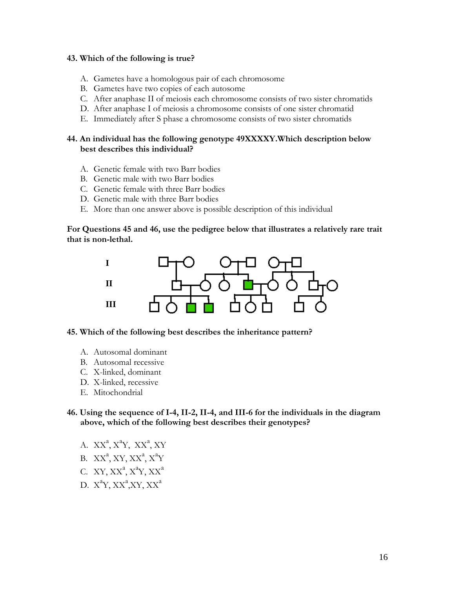#### **43. Which of the following is true?**

- A. Gametes have a homologous pair of each chromosome
- B. Gametes have two copies of each autosome
- C. After anaphase II of meiosis each chromosome consists of two sister chromatids
- D. After anaphase I of meiosis a chromosome consists of one sister chromatid
- E. Immediately after S phase a chromosome consists of two sister chromatids

# **44. An individual has the following genotype 49XXXXY.Which description below best describes this individual?**

- A. Genetic female with two Barr bodies
- B. Genetic male with two Barr bodies
- C. Genetic female with three Barr bodies
- D. Genetic male with three Barr bodies
- E. More than one answer above is possible description of this individual

#### **For Questions 45 and 46, use the pedigree below that illustrates a relatively rare trait that is non-lethal.**



#### **45. Which of the following best describes the inheritance pattern?**

- A. Autosomal dominant
- B. Autosomal recessive
- C. X-linked, dominant
- D. X-linked, recessive
- E. Mitochondrial

# **46. Using the sequence of I-4, II-2, II-4, and III-6 for the individuals in the diagram above, which of the following best describes their genotypes?**

- A.  $XX^a$ ,  $X^aY$ ,  $XX^a$ ,  $XY$
- B.  $XX^a$ , XY,  $XX^a$ ,  $X^a$ Y
- C. XY,  $XX^a$ ,  $X^a$ Y,  $XX^a$
- D.  $X^aY, XX^a, XY, XX^a$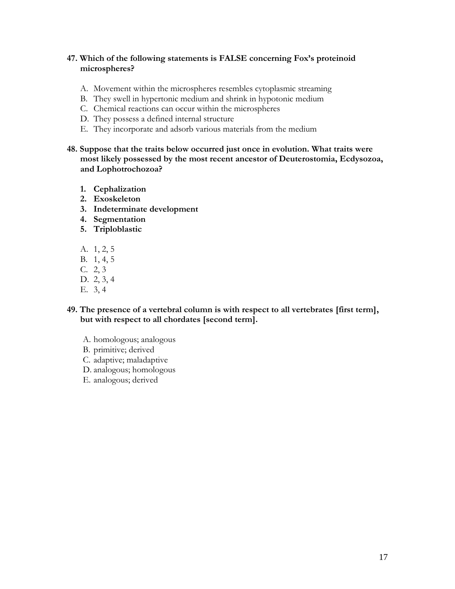# **47. Which of the following statements is FALSE concerning Fox's proteinoid microspheres?**

- A. Movement within the microspheres resembles cytoplasmic streaming
- B. They swell in hypertonic medium and shrink in hypotonic medium
- C. Chemical reactions can occur within the microspheres
- D. They possess a defined internal structure
- E. They incorporate and adsorb various materials from the medium
- **48. Suppose that the traits below occurred just once in evolution. What traits were most likely possessed by the most recent ancestor of Deuterostomia, Ecdysozoa, and Lophotrochozoa?**
	- **1. Cephalization**
	- **2. Exoskeleton**
	- **3. Indeterminate development**
	- **4. Segmentation**
	- **5. Triploblastic**
	- A. 1, 2, 5
	- B. 1, 4, 5
	- C. 2, 3
	- D. 2, 3, 4
	- E. 3, 4
- **49. The presence of a vertebral column is with respect to all vertebrates [first term], but with respect to all chordates [second term].**
	- A. homologous; analogous
	- B. primitive; derived
	- C. adaptive; maladaptive
	- D. analogous; homologous
	- E. analogous; derived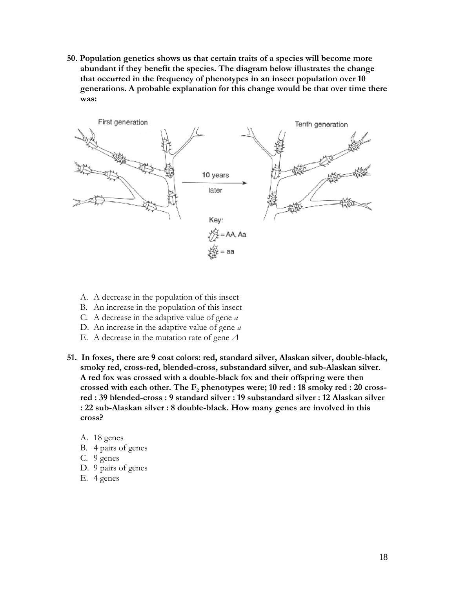**50. Population genetics shows us that certain traits of a species will become more abundant if they benefit the species. The diagram below illustrates the change that occurred in the frequency of phenotypes in an insect population over 10 generations. A probable explanation for this change would be that over time there was:** 



- A. A decrease in the population of this insect
- B. An increase in the population of this insect
- C. A decrease in the adaptive value of gene *a*
- D. An increase in the adaptive value of gene *a*
- E. A decrease in the mutation rate of gene *A*
- **51. In foxes, there are 9 coat colors: red, standard silver, Alaskan silver, double-black, smoky red, cross-red, blended-cross, substandard silver, and sub-Alaskan silver. A red fox was crossed with a double-black fox and their offspring were then crossed with each other. The F<sup>2</sup> phenotypes were; 10 red : 18 smoky red : 20 crossred : 39 blended-cross : 9 standard silver : 19 substandard silver : 12 Alaskan silver : 22 sub-Alaskan silver : 8 double-black. How many genes are involved in this cross?** 
	- A. 18 genes
	- B. 4 pairs of genes
	- C. 9 genes
	- D. 9 pairs of genes
	- E. 4 genes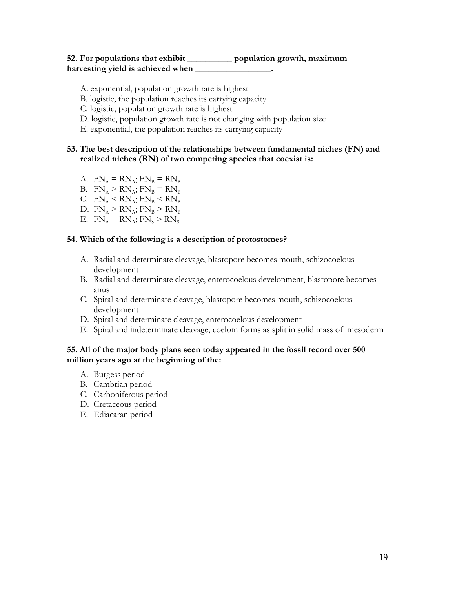# **52. For populations that exhibit \_\_\_\_\_\_\_\_\_\_ population growth, maximum harvesting yield is achieved when \_\_\_\_\_\_\_\_\_\_\_\_\_\_\_\_\_.**

- A. exponential, population growth rate is highest
- B. logistic, the population reaches its carrying capacity
- C. logistic, population growth rate is highest
- D. logistic, population growth rate is not changing with population size
- E. exponential, the population reaches its carrying capacity

# **53. The best description of the relationships between fundamental niches (FN) and realized niches (RN) of two competing species that coexist is:**

- A.  $FN_A = RN_A$ ;  $FN_B = RN_B$
- B.  $FN_A > RN_A$ ;  $FN_B = RN_B$
- C.  $FN_A < RN_A$ ;  $FN_B < RN_B$
- D.  $FN_A > RN_A$ ;  $FN_B > RN_B$
- E.  $FN_A = RN_A$ ;  $FN_S > RN_S$

#### **54. Which of the following is a description of protostomes?**

- A. Radial and determinate cleavage, blastopore becomes mouth, schizocoelous development
- B. Radial and determinate cleavage, enterocoelous development, blastopore becomes anus
- C. Spiral and determinate cleavage, blastopore becomes mouth, schizocoelous development
- D. Spiral and determinate cleavage, enterocoelous development
- E. Spiral and indeterminate cleavage, coelom forms as split in solid mass of mesoderm

# **55. All of the major body plans seen today appeared in the fossil record over 500 million years ago at the beginning of the:**

- A. Burgess period
- B. Cambrian period
- C. Carboniferous period
- D. Cretaceous period
- E. Ediacaran period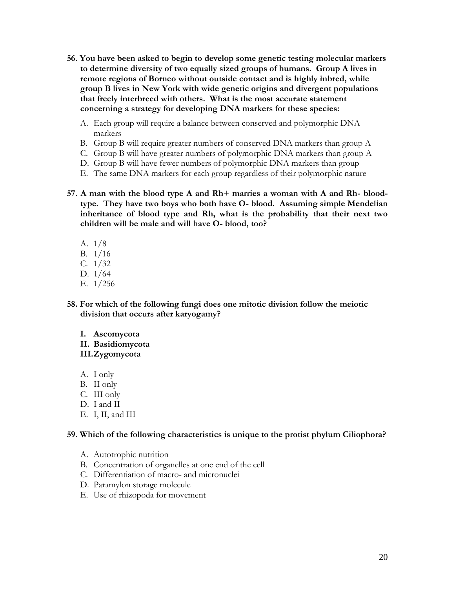- **56. You have been asked to begin to develop some genetic testing molecular markers to determine diversity of two equally sized groups of humans. Group A lives in remote regions of Borneo without outside contact and is highly inbred, while group B lives in New York with wide genetic origins and divergent populations that freely interbreed with others. What is the most accurate statement concerning a strategy for developing DNA markers for these species:**
	- A. Each group will require a balance between conserved and polymorphic DNA markers
	- B. Group B will require greater numbers of conserved DNA markers than group A
	- C. Group B will have greater numbers of polymorphic DNA markers than group A
	- D. Group B will have fewer numbers of polymorphic DNA markers than group
	- E. The same DNA markers for each group regardless of their polymorphic nature
- **57. A man with the blood type A and Rh+ marries a woman with A and Rh- bloodtype. They have two boys who both have O- blood. Assuming simple Mendelian inheritance of blood type and Rh, what is the probability that their next two children will be male and will have O- blood, too?**
	- A. 1/8
	- B. 1/16
	- C. 1/32
	- D. 1/64
	- E. 1/256
- **58. For which of the following fungi does one mitotic division follow the meiotic division that occurs after karyogamy?**

# **I. Ascomycota**

**II. Basidiomycota**

# **III.Zygomycota**

- A. I only
- B. II only
- C. III only
- D. I and II
- E. I, II, and III

# **59. Which of the following characteristics is unique to the protist phylum Ciliophora?**

- A. Autotrophic nutrition
- B. Concentration of organelles at one end of the cell
- C. Differentiation of macro- and micronuclei
- D. Paramylon storage molecule
- E. Use of rhizopoda for movement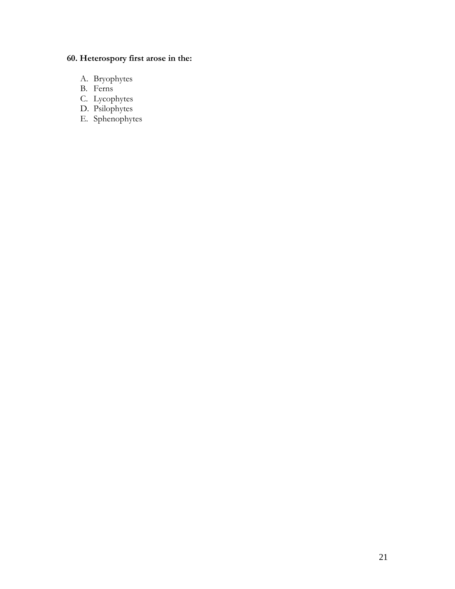# **60. Heterospory first arose in the:**

- A. Bryophytes
- B. Ferns
- C. Lycophytes
- D. Psilophytes
- E. Sphenophytes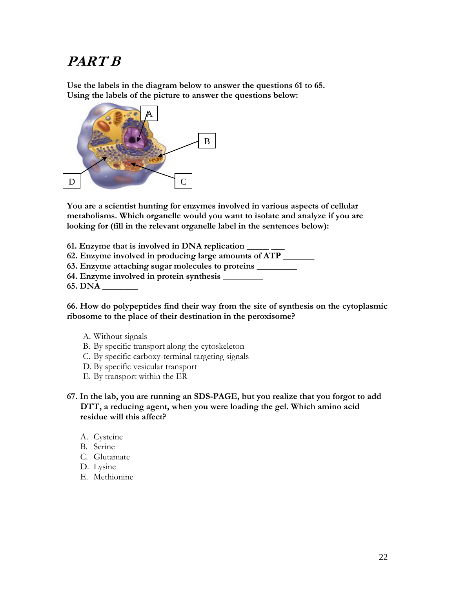# **PART B**

**Use the labels in the diagram below to answer the questions 61 to 65. Using the labels of the picture to answer the questions below:**



**You are a scientist hunting for enzymes involved in various aspects of cellular metabolisms. Which organelle would you want to isolate and analyze if you are looking for (fill in the relevant organelle label in the sentences below):**

- **61. Enzyme that is involved in DNA replication \_\_\_\_\_ \_\_\_**
- **62. Enzyme involved in producing large amounts of ATP \_\_\_\_\_\_\_**
- **63. Enzyme attaching sugar molecules to proteins \_\_\_\_\_\_\_\_\_**
- **64. Enzyme involved in protein synthesis \_\_\_\_\_\_\_\_\_**
- **65. DNA \_\_\_\_\_\_\_\_**

**66. How do polypeptides find their way from the site of synthesis on the cytoplasmic ribosome to the place of their destination in the peroxisome?**

- A. Without signals
- B. By specific transport along the cytoskeleton
- C. By specific carboxy-terminal targeting signals
- D. By specific vesicular transport
- E. By transport within the ER
- **67. In the lab, you are running an SDS-PAGE, but you realize that you forgot to add DTT, a reducing agent, when you were loading the gel. Which amino acid residue will this affect?**
	- A. Cysteine
	- B. Serine
	- C. Glutamate
	- D. Lysine
	- E. Methionine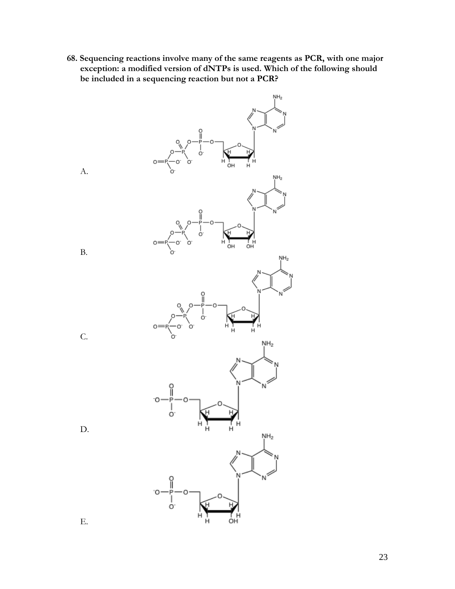**68. Sequencing reactions involve many of the same reagents as PCR, with one major exception: a modified version of dNTPs is used. Which of the following should be included in a sequencing reaction but not a PCR?**



A.

B.

C.

D.

E.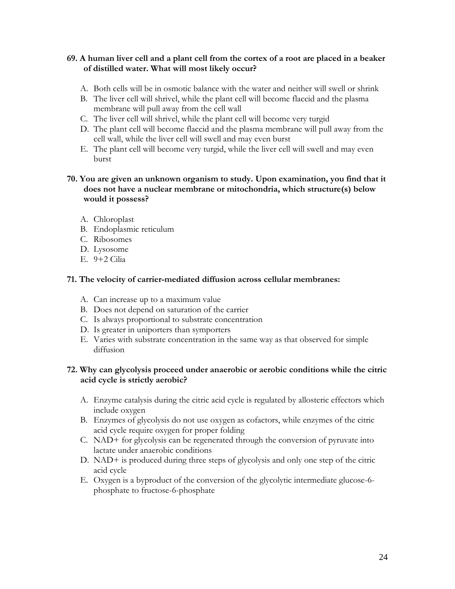# **69. A human liver cell and a plant cell from the cortex of a root are placed in a beaker of distilled water. What will most likely occur?**

- A. Both cells will be in osmotic balance with the water and neither will swell or shrink
- B. The liver cell will shrivel, while the plant cell will become flaccid and the plasma membrane will pull away from the cell wall
- C. The liver cell will shrivel, while the plant cell will become very turgid
- D. The plant cell will become flaccid and the plasma membrane will pull away from the cell wall, while the liver cell will swell and may even burst
- E. The plant cell will become very turgid, while the liver cell will swell and may even burst

# **70. You are given an unknown organism to study. Upon examination, you find that it does not have a nuclear membrane or mitochondria, which structure(s) below would it possess?**

- A. Chloroplast
- B. Endoplasmic reticulum
- C. Ribosomes
- D. Lysosome
- E. 9+2 Cilia

# **71. The velocity of carrier-mediated diffusion across cellular membranes:**

- A. Can increase up to a maximum value
- B. Does not depend on saturation of the carrier
- C. Is always proportional to substrate concentration
- D. Is greater in uniporters than symporters
- E. Varies with substrate concentration in the same way as that observed for simple diffusion

# **72. Why can glycolysis proceed under anaerobic or aerobic conditions while the citric acid cycle is strictly aerobic?**

- A. Enzyme catalysis during the citric acid cycle is regulated by allosteric effectors which include oxygen
- B. Enzymes of glycolysis do not use oxygen as cofactors, while enzymes of the citric acid cycle require oxygen for proper folding
- C. NAD+ for glycolysis can be regenerated through the conversion of pyruvate into lactate under anaerobic conditions
- D. NAD+ is produced during three steps of glycolysis and only one step of the citric acid cycle
- E. Oxygen is a byproduct of the conversion of the glycolytic intermediate glucose-6 phosphate to fructose-6-phosphate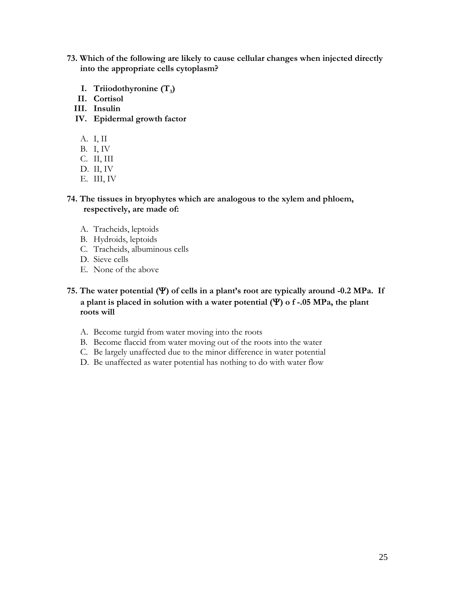- **73. Which of the following are likely to cause cellular changes when injected directly into the appropriate cells cytoplasm?**
	- **I. Triiodothyronine (T<sup>3</sup> )**
	- **II. Cortisol**
	- **III. Insulin**
	- **IV. Epidermal growth factor**
		- A. I, II
		- B. I, IV
		- C. II, III
		- D. II, IV
		- E. III, IV

**74. The tissues in bryophytes which are analogous to the xylem and phloem, respectively, are made of:**

- A. Tracheids, leptoids
- B. Hydroids, leptoids
- C. Tracheids, albuminous cells
- D. Sieve cells
- E. None of the above

# **75. The water potential () of cells in a plant's root are typically around -0.2 MPa. If**  a plant is placed in solution with a water potential  $(\Psi)$  o f -.05 MPa, the plant **roots will**

- A. Become turgid from water moving into the roots
- B. Become flaccid from water moving out of the roots into the water
- C. Be largely unaffected due to the minor difference in water potential
- D. Be unaffected as water potential has nothing to do with water flow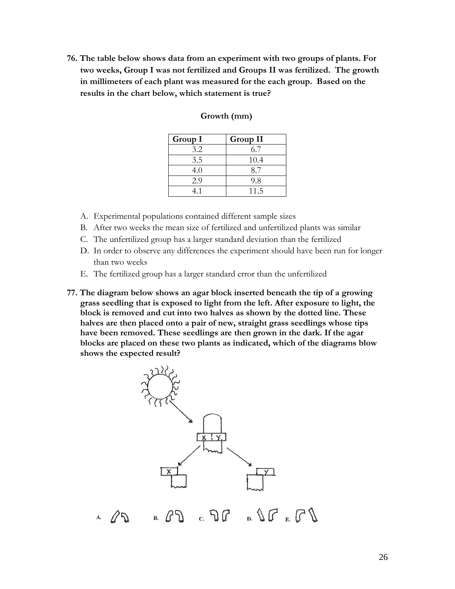**76. The table below shows data from an experiment with two groups of plants. For two weeks, Group I was not fertilized and Groups II was fertilized. The growth in millimeters of each plant was measured for the each group. Based on the results in the chart below, which statement is true?** 

| Group I | Group II |
|---------|----------|
| 3.2     | 6.7      |
| 3.5     | 10.4     |
| 4.0     | 8.7      |
| 2.9     | 9.8      |
| 41      | 11.5     |

#### **Growth (mm)**

- A. Experimental populations contained different sample sizes
- B. After two weeks the mean size of fertilized and unfertilized plants was similar
- C. The unfertilized group has a larger standard deviation than the fertilized
- D. In order to observe any differences the experiment should have been run for longer than two weeks
- E. The fertilized group has a larger standard error than the unfertilized
- **77. The diagram below shows an agar block inserted beneath the tip of a growing grass seedling that is exposed to light from the left. After exposure to light, the block is removed and cut into two halves as shown by the dotted line. These halves are then placed onto a pair of new, straight grass seedlings whose tips have been removed. These seedlings are then grown in the dark. If the agar blocks are placed on these two plants as indicated, which of the diagrams blow shows the expected result?**

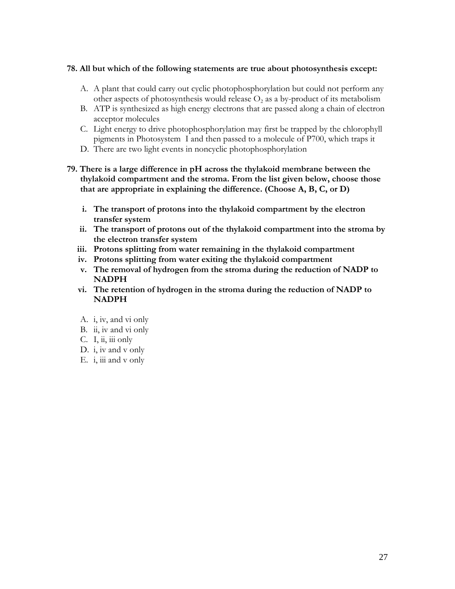#### **78. All but which of the following statements are true about photosynthesis except:**

- A. A plant that could carry out cyclic photophosphorylation but could not perform any other aspects of photosynthesis would release  $O_2$  as a by-product of its metabolism
- B. ATP is synthesized as high energy electrons that are passed along a chain of electron acceptor molecules
- C. Light energy to drive photophosphorylation may first be trapped by the chlorophyll pigments in Photosystem I and then passed to a molecule of P700, which traps it
- D. There are two light events in noncyclic photophosphorylation

# **79. There is a large difference in pH across the thylakoid membrane between the thylakoid compartment and the stroma. From the list given below, choose those that are appropriate in explaining the difference. (Choose A, B, C, or D)**

- **i. The transport of protons into the thylakoid compartment by the electron transfer system**
- **ii. The transport of protons out of the thylakoid compartment into the stroma by the electron transfer system**
- **iii. Protons splitting from water remaining in the thylakoid compartment**
- **iv. Protons splitting from water exiting the thylakoid compartment**
- **v. The removal of hydrogen from the stroma during the reduction of NADP to NADPH**
- **vi. The retention of hydrogen in the stroma during the reduction of NADP to NADPH**
- A. i, iv, and vi only
- B. ii, iv and vi only
- C. I, ii, iii only
- D. i, iv and v only
- E. i, iii and v only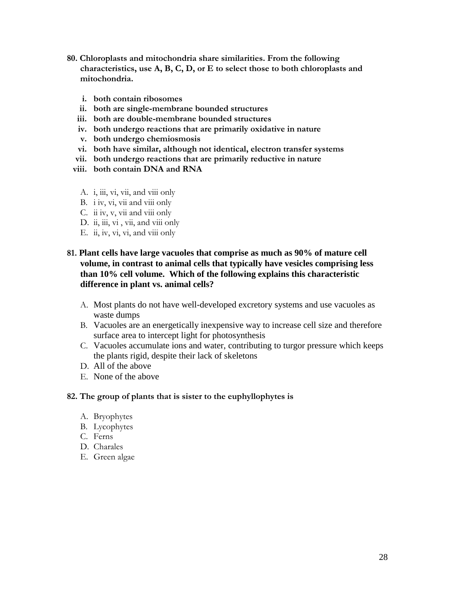- **80. Chloroplasts and mitochondria share similarities. From the following characteristics, use A, B, C, D, or E to select those to both chloroplasts and mitochondria.**
	- **i. both contain ribosomes**
	- **ii. both are single-membrane bounded structures**
	- **iii. both are double-membrane bounded structures**
	- **iv. both undergo reactions that are primarily oxidative in nature**
	- **v. both undergo chemiosmosis**
	- **vi. both have similar, although not identical, electron transfer systems**
	- **vii. both undergo reactions that are primarily reductive in nature**
	- **viii. both contain DNA and RNA**
		- A. i, iii, vi, vii, and viii only
		- B. i iv, vi, vii and viii only
		- C. ii iv, v, vii and viii only
		- D. ii, iii, vi, vii, and viii only
		- E. ii, iv, vi, vi, and viii only

# **81. Plant cells have large vacuoles that comprise as much as 90% of mature cell volume, in contrast to animal cells that typically have vesicles comprising less than 10% cell volume. Which of the following explains this characteristic difference in plant vs. animal cells?**

- A. Most plants do not have well-developed excretory systems and use vacuoles as waste dumps
- B. Vacuoles are an energetically inexpensive way to increase cell size and therefore surface area to intercept light for photosynthesis
- C. Vacuoles accumulate ions and water, contributing to turgor pressure which keeps the plants rigid, despite their lack of skeletons
- D. All of the above
- E. None of the above

# **82. The group of plants that is sister to the euphyllophytes is**

- A. Bryophytes
- B. Lycophytes
- C. Ferns
- D. Charales
- E. Green algae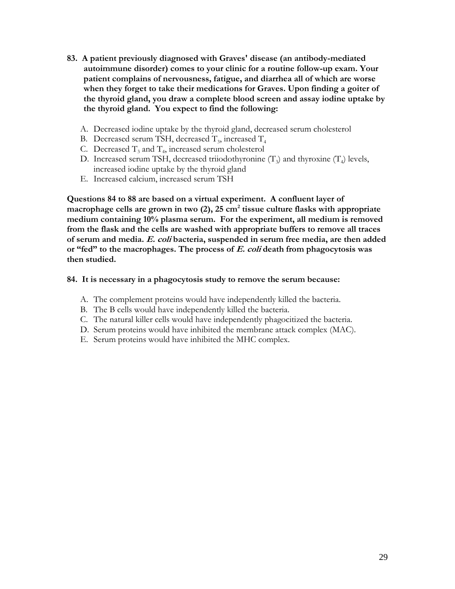- **83. A patient previously diagnosed with Graves' disease (an antibody-mediated autoimmune disorder) comes to your clinic for a routine follow-up exam. Your patient complains of nervousness, fatigue, and diarrhea all of which are worse when they forget to take their medications for Graves. Upon finding a goiter of the thyroid gland, you draw a complete blood screen and assay iodine uptake by the thyroid gland. You expect to find the following:** 
	- A. Decreased iodine uptake by the thyroid gland, decreased serum cholesterol
	- B. Decreased serum TSH, decreased  $T_3$ , increased  $T_4$
	- C. Decreased  $T_3$  and  $T_4$ , increased serum cholesterol
	- D. Increased serum TSH, decreased triiodothyronine  $(T_3)$  and thyroxine  $(T_4)$  levels, increased iodine uptake by the thyroid gland
	- E. Increased calcium, increased serum TSH

**Questions 84 to 88 are based on a virtual experiment. A confluent layer of macrophage cells are grown in two (2), 25 cm<sup>2</sup> tissue culture flasks with appropriate medium containing 10% plasma serum. For the experiment, all medium is removed from the flask and the cells are washed with appropriate buffers to remove all traces of serum and media. E. coli bacteria, suspended in serum free media, are then added or "fed" to the macrophages. The process of E. coli death from phagocytosis was then studied.**

# **84. It is necessary in a phagocytosis study to remove the serum because:**

- A. The complement proteins would have independently killed the bacteria.
- B. The B cells would have independently killed the bacteria.
- C. The natural killer cells would have independently phagocitized the bacteria.
- D. Serum proteins would have inhibited the membrane attack complex (MAC).
- E. Serum proteins would have inhibited the MHC complex.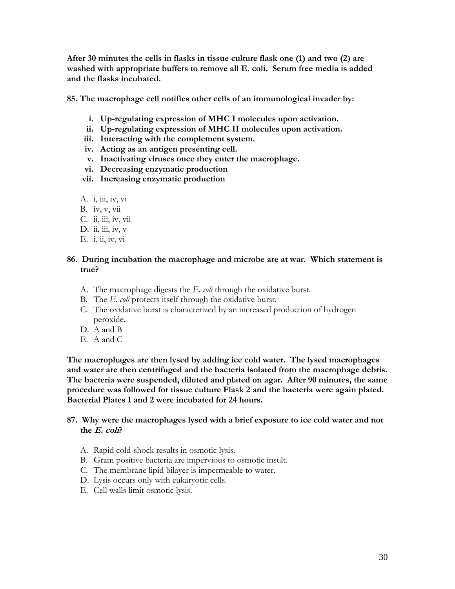**After 30 minutes the cells in flasks in tissue culture flask one (1) and two (2) are washed with appropriate buffers to remove all E. coli. Serum free media is added and the flasks incubated.** 

**85. The macrophage cell notifies other cells of an immunological invader by:** 

- **i. Up-regulating expression of MHC I molecules upon activation.**
- **ii. Up-regulating expression of MHC II molecules upon activation.**
- **iii. Interacting with the complement system.**
- **iv. Acting as an antigen presenting cell.**
- **v. Inactivating viruses once they enter the macrophage.**
- **vi. Decreasing enzymatic production**
- **vii. Increasing enzymatic production**
- A. i, iii, iv, vi
- B. iv, v, vii
- C. ii, iii, iv, vii
- D. ii, iii, iv,  $v$
- E. i, ii, iv, vi

#### **86. During incubation the macrophage and microbe are at war. Which statement is true?**

- A. The macrophage digests the *E. coli* through the oxidative burst.
- B. The *E. coli* protects itself through the oxidative burst.
- C. The oxidative burst is characterized by an increased production of hydrogen peroxide.
- D. A and B
- E. A and C

**The macrophages are then lysed by adding ice cold water. The lysed macrophages and water are then centrifuged and the bacteria isolated from the macrophage debris. The bacteria were suspended, diluted and plated on agar. After 90 minutes, the same procedure was followed for tissue culture Flask 2 and the bacteria were again plated. Bacterial Plates 1 and 2 were incubated for 24 hours.**

#### **87. Why were the macrophages lysed with a brief exposure to ice cold water and not the E. coli?**

- A. Rapid cold-shock results in osmotic lysis.
- B. Gram positive bacteria are impervious to osmotic insult.
- C. The membrane lipid bilayer is impermeable to water.
- D. Lysis occurs only with eukaryotic cells.
- E. Cell walls limit osmotic lysis.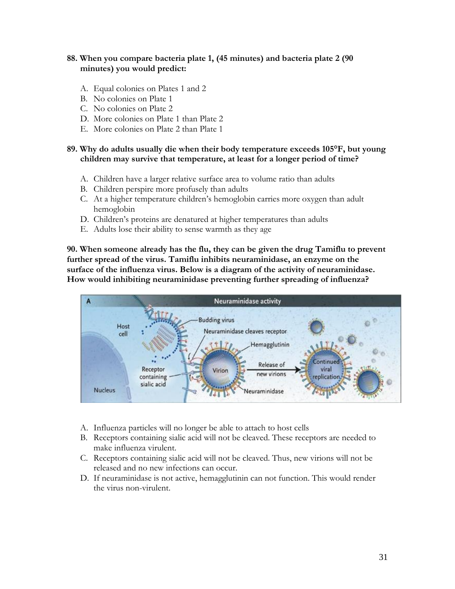# **88. When you compare bacteria plate 1, (45 minutes) and bacteria plate 2 (90 minutes) you would predict:**

- A. Equal colonies on Plates 1 and 2
- B. No colonies on Plate 1
- C. No colonies on Plate 2
- D. More colonies on Plate 1 than Plate 2
- E. More colonies on Plate 2 than Plate 1

# **89. Why do adults usually die when their body temperature exceeds 105°F, but young children may survive that temperature, at least for a longer period of time?**

- A. Children have a larger relative surface area to volume ratio than adults
- B. Children perspire more profusely than adults
- C. At a higher temperature children's hemoglobin carries more oxygen than adult hemoglobin
- D. Children's proteins are denatured at higher temperatures than adults
- E. Adults lose their ability to sense warmth as they age

**90. When someone already has the flu, they can be given the drug Tamiflu to prevent further spread of the virus. Tamiflu inhibits neuraminidase, an enzyme on the surface of the influenza virus. Below is a diagram of the activity of neuraminidase. How would inhibiting neuraminidase preventing further spreading of influenza?**



- A. Influenza particles will no longer be able to attach to host cells
- B. Receptors containing sialic acid will not be cleaved. These receptors are needed to make influenza virulent.
- C. Receptors containing sialic acid will not be cleaved. Thus, new virions will not be released and no new infections can occur.
- D. If neuraminidase is not active, hemagglutinin can not function. This would render the virus non-virulent.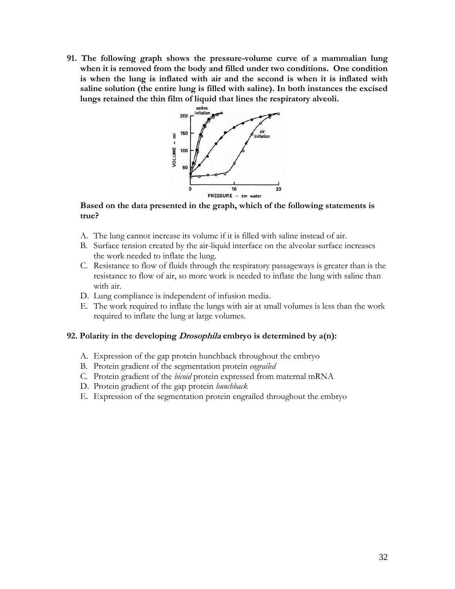**91. The following graph shows the pressure-volume curve of a mammalian lung when it is removed from the body and filled under two conditions. One condition is when the lung is inflated with air and the second is when it is inflated with saline solution (the entire lung is filled with saline). In both instances the excised lungs retained the thin film of liquid that lines the respiratory alveoli.**



#### **Based on the data presented in the graph, which of the following statements is true?**

- A. The lung cannot increase its volume if it is filled with saline instead of air.
- B. Surface tension created by the air-liquid interface on the alveolar surface increases the work needed to inflate the lung.
- C. Resistance to flow of fluids through the respiratory passageways is greater than is the resistance to flow of air, so more work is needed to inflate the lung with saline than with air.
- D. Lung compliance is independent of infusion media.
- E. The work required to inflate the lungs with air at small volumes is less than the work required to inflate the lung at large volumes.

# **92. Polarity in the developing Drosophila embryo is determined by a(n):**

- A. Expression of the gap protein hunchback throughout the embryo
- B. Protein gradient of the segmentation protein *engrailed*
- C. Protein gradient of the *bicoid* protein expressed from maternal mRNA
- D. Protein gradient of the gap protein *hunchback*
- E. Expression of the segmentation protein engrailed throughout the embryo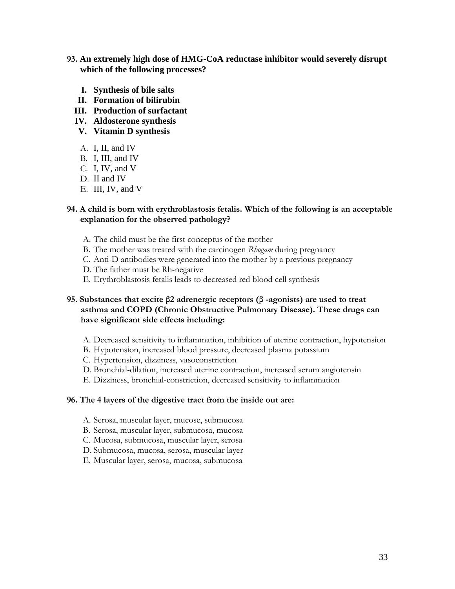- **93. An extremely high dose of HMG-CoA reductase inhibitor would severely disrupt which of the following processes?**
	- **I. Synthesis of bile salts**
	- **II. Formation of bilirubin**
	- **III. Production of surfactant**
	- **IV. Aldosterone synthesis**
	- **V. Vitamin D synthesis**
	- A. I, II, and IV
	- B. I, III, and IV
	- C. I, IV, and V
	- D. II and IV
	- E. III, IV, and V

#### **94. A child is born with erythroblastosis fetalis. Which of the following is an acceptable explanation for the observed pathology?**

- A. The child must be the first conceptus of the mother
- B. The mother was treated with the carcinogen *Rhogam* during pregnancy
- C. Anti-D antibodies were generated into the mother by a previous pregnancy
- D. The father must be Rh-negative
- E. Erythroblastosis fetalis leads to decreased red blood cell synthesis

# **95. Substances that excite β2 adrenergic receptors (β -agonists) are used to treat asthma and COPD (Chronic Obstructive Pulmonary Disease). These drugs can have significant side effects including:**

- A. Decreased sensitivity to inflammation, inhibition of uterine contraction, hypotension
- B. Hypotension, increased blood pressure, decreased plasma potassium
- C. Hypertension, dizziness, vasoconstriction
- D. Bronchial-dilation, increased uterine contraction, increased serum angiotensin
- E. Dizziness, bronchial-constriction, decreased sensitivity to inflammation

#### **96. The 4 layers of the digestive tract from the inside out are:**

- A. Serosa, muscular layer, mucose, submucosa
- B. Serosa, muscular layer, submucosa, mucosa
- C. Mucosa, submucosa, muscular layer, serosa
- D. Submucosa, mucosa, serosa, muscular layer
- E. Muscular layer, serosa, mucosa, submucosa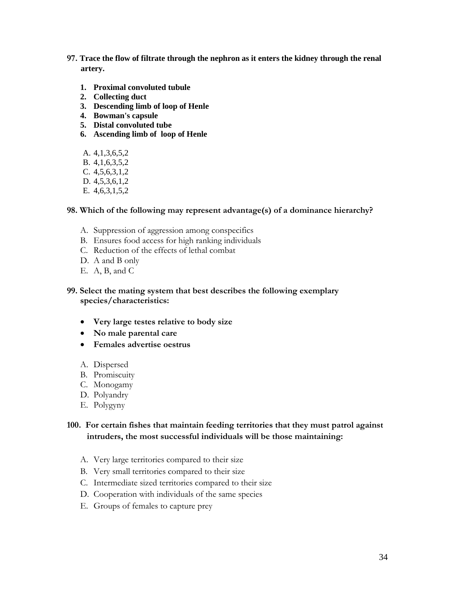- **97. Trace the flow of filtrate through the nephron as it enters the kidney through the renal artery.**
	- **1. Proximal convoluted tubule**
	- **2. Collecting duct**
	- **3. Descending limb of loop of Henle**
	- **4. Bowman's capsule**
	- **5. Distal convoluted tube**
	- **6. Ascending limb of loop of Henle**
	- A. 4,1,3,6,5,2
	- B. 4,1,6,3,5,2
	- C. 4,5,6,3,1,2
	- D. 4,5,3,6,1,2
	- E. 4,6,3,1,5,2

#### **98. Which of the following may represent advantage(s) of a dominance hierarchy?**

- A. Suppression of aggression among conspecifics
- B. Ensures food access for high ranking individuals
- C. Reduction of the effects of lethal combat
- D. A and B only
- E. A, B, and C

#### **99. Select the mating system that best describes the following exemplary species/characteristics:**

- **Very large testes relative to body size**
- **No male parental care**
- **Females advertise oestrus**
- A. Dispersed
- B. Promiscuity
- C. Monogamy
- D. Polyandry
- E. Polygyny

# **100. For certain fishes that maintain feeding territories that they must patrol against intruders, the most successful individuals will be those maintaining:**

- A. Very large territories compared to their size
- B. Very small territories compared to their size
- C. Intermediate sized territories compared to their size
- D. Cooperation with individuals of the same species
- E. Groups of females to capture prey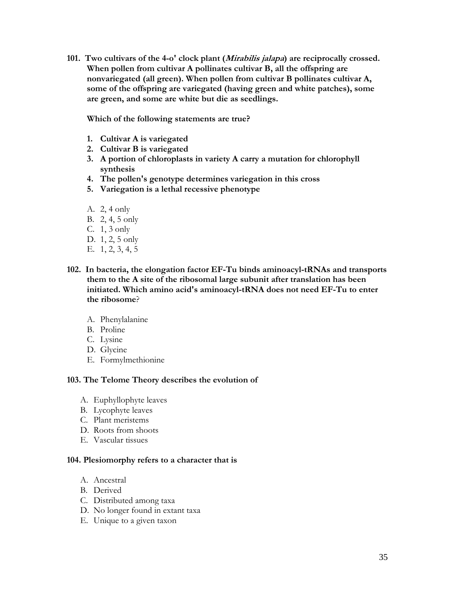**101. Two cultivars of the 4-o' clock plant (Mirabilis jalapa) are reciprocally crossed. When pollen from cultivar A pollinates cultivar B, all the offspring are nonvariegated (all green). When pollen from cultivar B pollinates cultivar A, some of the offspring are variegated (having green and white patches), some are green, and some are white but die as seedlings.**

**Which of the following statements are true?**

- **1. Cultivar A is variegated**
- **2. Cultivar B is variegated**
- **3. A portion of chloroplasts in variety A carry a mutation for chlorophyll synthesis**
- **4. The pollen's genotype determines variegation in this cross**
- **5. Variegation is a lethal recessive phenotype**
- A. 2, 4 only
- B. 2, 4, 5 only
- C. 1, 3 only
- D. 1, 2, 5 only
- E. 1, 2, 3, 4, 5
- **102. In bacteria, the elongation factor EF-Tu binds aminoacyl-tRNAs and transports them to the A site of the ribosomal large subunit after translation has been initiated. Which amino acid's aminoacyl-tRNA does not need EF-Tu to enter the ribosome**?
	- A. Phenylalanine
	- B. Proline
	- C. Lysine
	- D. Glycine
	- E. Formylmethionine

#### **103. The Telome Theory describes the evolution of**

- A. Euphyllophyte leaves
- B. Lycophyte leaves
- C. Plant meristems
- D. Roots from shoots
- E. Vascular tissues

#### **104. Plesiomorphy refers to a character that is**

- A. Ancestral
- B. Derived
- C. Distributed among taxa
- D. No longer found in extant taxa
- E. Unique to a given taxon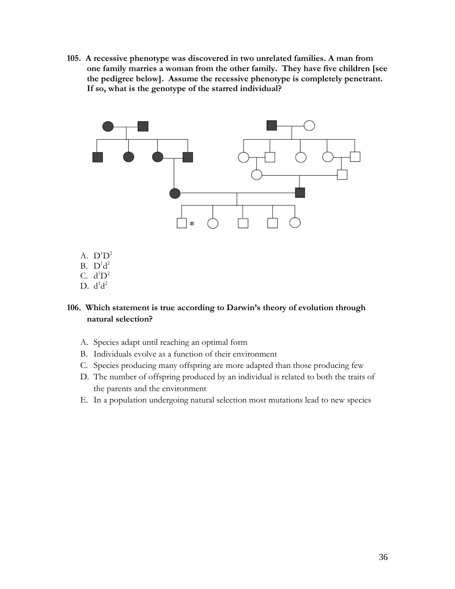**105. A recessive phenotype was discovered in two unrelated families. A man from one family marries a woman from the other family. They have five children [see the pedigree below]. Assume the recessive phenotype is completely penetrant. If so, what is the genotype of the starred individual?** 



- A.  $D^1D^2$
- B.  $D^1d^2$
- C.  $d^1D^2$
- D.  $d^1d^2$

# **106. Which statement is true according to Darwin's theory of evolution through natural selection?**

- A. Species adapt until reaching an optimal form
- B. Individuals evolve as a function of their environment
- C. Species producing many offspring are more adapted than those producing few
- D. The number of offspring produced by an individual is related to both the traits of the parents and the environment
- E. In a population undergoing natural selection most mutations lead to new species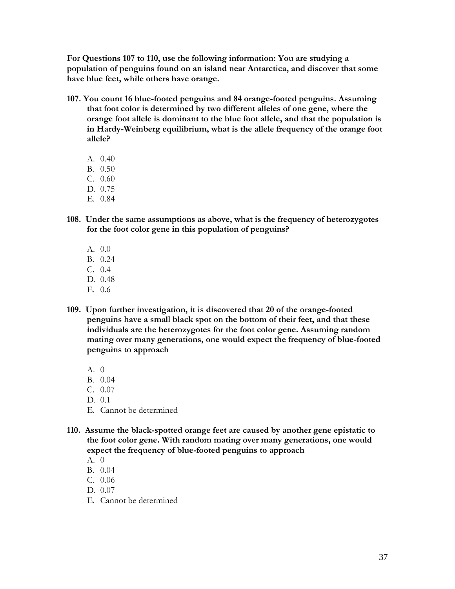**For Questions 107 to 110, use the following information: You are studying a population of penguins found on an island near Antarctica, and discover that some have blue feet, while others have orange.** 

- **107. You count 16 blue-footed penguins and 84 orange-footed penguins. Assuming that foot color is determined by two different alleles of one gene, where the orange foot allele is dominant to the blue foot allele, and that the population is in Hardy-Weinberg equilibrium, what is the allele frequency of the orange foot allele?**
	- A. 0.40
	- B. 0.50
	- C. 0.60
	- D. 0.75
	- E. 0.84
- **108. Under the same assumptions as above, what is the frequency of heterozygotes for the foot color gene in this population of penguins?**
	- A. 0.0
	- B. 0.24
	- C. 0.4
	- D. 0.48
	- E. 0.6
- **109. Upon further investigation, it is discovered that 20 of the orange-footed penguins have a small black spot on the bottom of their feet, and that these individuals are the heterozygotes for the foot color gene. Assuming random mating over many generations, one would expect the frequency of blue-footed penguins to approach**
	- A. 0
	- B. 0.04
	- C. 0.07
	- D. 0.1
	- E. Cannot be determined
- **110. Assume the black-spotted orange feet are caused by another gene epistatic to the foot color gene. With random mating over many generations, one would expect the frequency of blue-footed penguins to approach**
	- A. 0
	- B. 0.04
	- C. 0.06
	- D. 0.07
	- E. Cannot be determined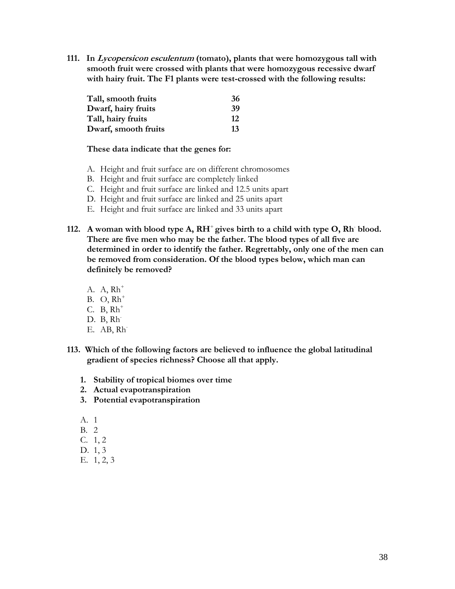**111. In Lycopersicon esculentum (tomato), plants that were homozygous tall with smooth fruit were crossed with plants that were homozygous recessive dwarf with hairy fruit. The F1 plants were test-crossed with the following results:**

| Tall, smooth fruits  | 36  |
|----------------------|-----|
| Dwarf, hairy fruits  | -39 |
| Tall, hairy fruits   | 12  |
| Dwarf, smooth fruits | 13  |

#### **These data indicate that the genes for:**

- A. Height and fruit surface are on different chromosomes
- B. Height and fruit surface are completely linked
- C. Height and fruit surface are linked and 12.5 units apart
- D. Height and fruit surface are linked and 25 units apart
- E. Height and fruit surface are linked and 33 units apart
- 112. A woman with blood type A,  $RH^+$  gives birth to a child with type O, Rh blood. **There are five men who may be the father. The blood types of all five are determined in order to identify the father. Regrettably, only one of the men can be removed from consideration. Of the blood types below, which man can definitely be removed?**
	- A.  $A$ ,  $Rh^+$
	- $B.$  O,  $Rh^+$
	- $C. B, Rh<sup>+</sup>$
	- D. B, Rh<sup>-</sup>
	- E. AB, Rh<sup>-</sup>
- **113. Which of the following factors are believed to influence the global latitudinal gradient of species richness? Choose all that apply.**
	- **1. Stability of tropical biomes over time**
	- **2. Actual evapotranspiration**
	- **3. Potential evapotranspiration**
	- A. 1
	- B. 2
	- C. 1, 2
	- D. 1, 3
	- E. 1, 2, 3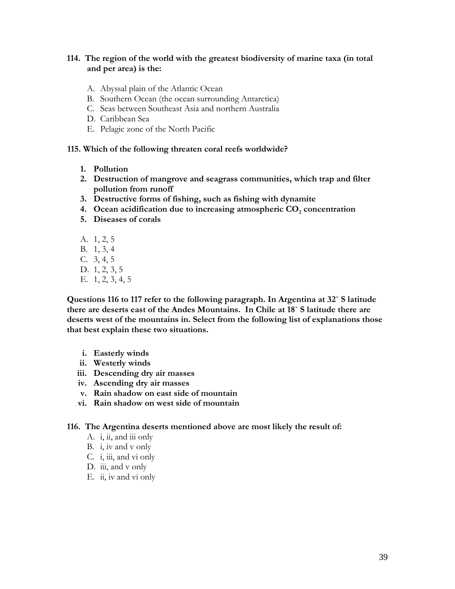# **114. The region of the world with the greatest biodiversity of marine taxa (in total and per area) is the:**

- A. Abyssal plain of the Atlantic Ocean
- B. Southern Ocean (the ocean surrounding Antarctica)
- C. Seas between Southeast Asia and northern Australia
- D. Caribbean Sea
- E. Pelagic zone of the North Pacific

#### **115. Which of the following threaten coral reefs worldwide?**

- **1. Pollution**
- **2. Destruction of mangrove and seagrass communities, which trap and filter pollution from runoff**
- **3. Destructive forms of fishing, such as fishing with dynamite**
- **4.** Ocean acidification due to increasing atmospheric CO<sub>2</sub> concentration
- **5. Diseases of corals**
- A. 1, 2, 5
- B. 1, 3, 4
- C. 3, 4, 5
- D. 1, 2, 3, 5
- E. 1, 2, 3, 4, 5

**Questions 116 to 117 refer to the following paragraph. In Argentina at 32˚ S latitude there are deserts east of the Andes Mountains. In Chile at 18˚ S latitude there are deserts west of the mountains in. Select from the following list of explanations those that best explain these two situations.**

- **i. Easterly winds**
- **ii. Westerly winds**
- **iii. Descending dry air masses**
- **iv. Ascending dry air masses**
- **v. Rain shadow on east side of mountain**
- **vi. Rain shadow on west side of mountain**

**116. The Argentina deserts mentioned above are most likely the result of:**

- A. i, ii, and iii only
- B. i, iv and v only
- C. i, iii, and vi only
- D. iii, and v only
- E. ii, iv and vi only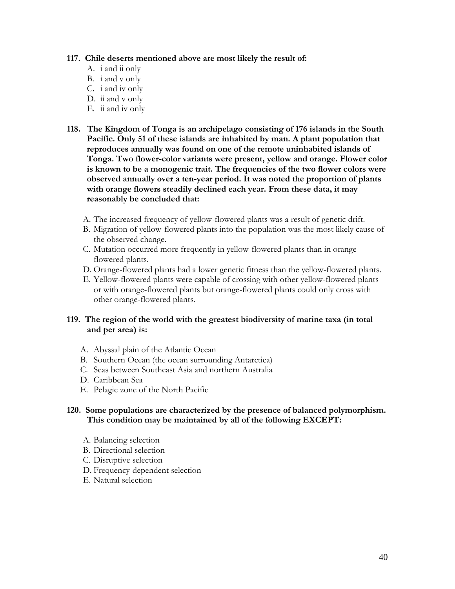#### **117. Chile deserts mentioned above are most likely the result of:**

- A. i and ii only
- B. i and v only
- C. i and iv only
- D. ii and v only
- E. ii and iv only
- **118. The Kingdom of Tonga is an archipelago consisting of 176 islands in the South Pacific. Only 51 of these islands are inhabited by man. A plant population that reproduces annually was found on one of the remote uninhabited islands of Tonga. Two flower-color variants were present, yellow and orange. Flower color is known to be a monogenic trait. The frequencies of the two flower colors were observed annually over a ten-year period. It was noted the proportion of plants with orange flowers steadily declined each year. From these data, it may reasonably be concluded that:**
	- A. The increased frequency of yellow-flowered plants was a result of genetic drift.
	- B. Migration of yellow-flowered plants into the population was the most likely cause of the observed change.
	- C. Mutation occurred more frequently in yellow-flowered plants than in orangeflowered plants.
	- D. Orange-flowered plants had a lower genetic fitness than the yellow-flowered plants.
	- E. Yellow-flowered plants were capable of crossing with other yellow-flowered plants or with orange-flowered plants but orange-flowered plants could only cross with other orange-flowered plants.

# **119. The region of the world with the greatest biodiversity of marine taxa (in total and per area) is:**

- A. Abyssal plain of the Atlantic Ocean
- B. Southern Ocean (the ocean surrounding Antarctica)
- C. Seas between Southeast Asia and northern Australia
- D. Caribbean Sea
- E. Pelagic zone of the North Pacific

# **120. Some populations are characterized by the presence of balanced polymorphism. This condition may be maintained by all of the following EXCEPT:**

- A. Balancing selection
- B. Directional selection
- C. Disruptive selection
- D. Frequency-dependent selection
- E. Natural selection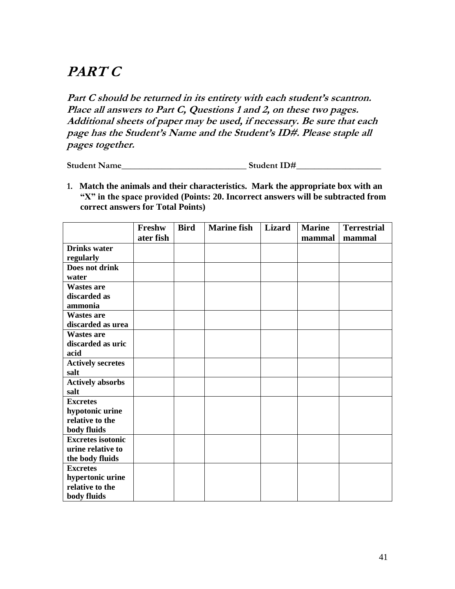# **PART C**

Part C should be returned in its entirety with each student's scantron. **Place all answers to Part C, Questions 1 and 2, on these two pages. Additional sheets of paper may be used, if necessary. Be sure that each page has the Student's Name and the Student's ID#. Please staple all pages together.**

**Student Name\_\_\_\_\_\_\_\_\_\_\_\_\_\_\_\_\_\_\_\_\_\_\_\_\_\_\_\_ Student ID#\_\_\_\_\_\_\_\_\_\_\_\_\_\_\_\_\_\_\_**

**1. Match the animals and their characteristics. Mark the appropriate box with an "X" in the space provided (Points: 20. Incorrect answers will be subtracted from correct answers for Total Points)**

|                          | Freshw    | <b>Bird</b> | <b>Marine fish</b> | <b>Lizard</b> | <b>Marine</b> | <b>Terrestrial</b> |
|--------------------------|-----------|-------------|--------------------|---------------|---------------|--------------------|
|                          | ater fish |             |                    |               | mammal        | mammal             |
| <b>Drinks water</b>      |           |             |                    |               |               |                    |
| regularly                |           |             |                    |               |               |                    |
| Does not drink           |           |             |                    |               |               |                    |
| water                    |           |             |                    |               |               |                    |
| <b>Wastes are</b>        |           |             |                    |               |               |                    |
| discarded as             |           |             |                    |               |               |                    |
| ammonia                  |           |             |                    |               |               |                    |
| <b>Wastes are</b>        |           |             |                    |               |               |                    |
| discarded as urea        |           |             |                    |               |               |                    |
| <b>Wastes are</b>        |           |             |                    |               |               |                    |
| discarded as uric        |           |             |                    |               |               |                    |
| acid                     |           |             |                    |               |               |                    |
| <b>Actively secretes</b> |           |             |                    |               |               |                    |
| salt                     |           |             |                    |               |               |                    |
| <b>Actively absorbs</b>  |           |             |                    |               |               |                    |
| salt                     |           |             |                    |               |               |                    |
| <b>Excretes</b>          |           |             |                    |               |               |                    |
| hypotonic urine          |           |             |                    |               |               |                    |
| relative to the          |           |             |                    |               |               |                    |
| body fluids              |           |             |                    |               |               |                    |
| <b>Excretes</b> isotonic |           |             |                    |               |               |                    |
| urine relative to        |           |             |                    |               |               |                    |
| the body fluids          |           |             |                    |               |               |                    |
| <b>Excretes</b>          |           |             |                    |               |               |                    |
| hypertonic urine         |           |             |                    |               |               |                    |
| relative to the          |           |             |                    |               |               |                    |
| body fluids              |           |             |                    |               |               |                    |